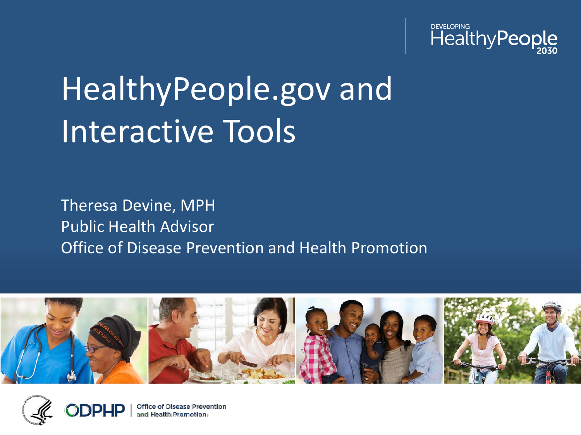

# HealthyPeople.gov and Interactive Tools

Theresa Devine, MPH Public Health Advisor Office of Disease Prevention and Health Promotion



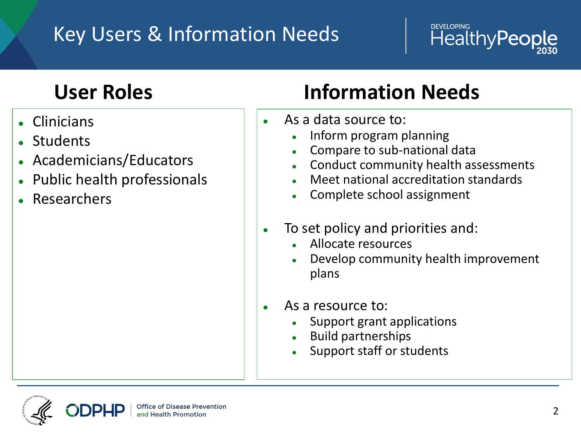#### Key Users & Information Needs

#### **User Roles**

- Clinicians
- **Students**
- Academicians/Educators
- Public health professionals
- **Researchers**

#### **Information Needs**

- $\bullet$  As a data source to:
	- Inform program planning
	- Compare to sub-national data
	- Conduct community health assessments

**DEVELOPING** 

HealthyPeople

- Meet national accreditation standards
- Complete school assignment
- To set policy and priorities and:
	- Allocate resources
	- Develop community health improvement plans
	- As a resource to:
		- Support grant applications
		- **Build partnerships**
		- Support staff or students

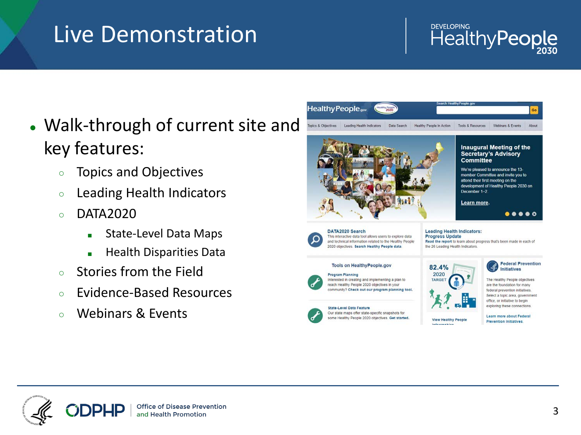# Live Demonstration

#### **DEVELOPING** HealthyPeople

- Walk-through of current site and key features:
	- Topics and Objectives
	- Leading Health Indicators
	- $\circ$  DATA2020
		- State-Level Data Maps
		- Health Disparities Data
	- Stories from the Field
	- Evidence-Based Resources
	- Webinars & Events



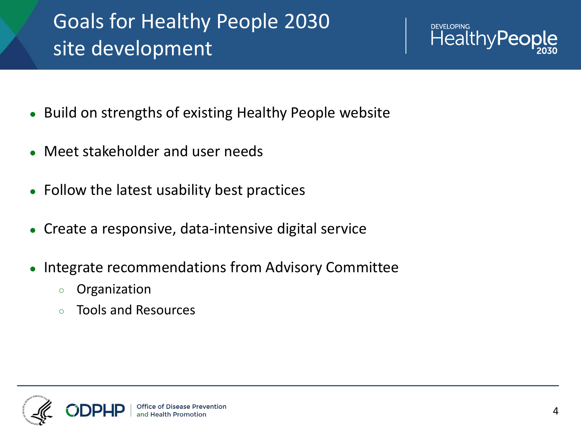## Goals for Healthy People 2030 site development



- Build on strengths of existing Healthy People website
- Meet stakeholder and user needs
- Follow the latest usability best practices
- Create a responsive, data-intensive digital service
- Integrate recommendations from Advisory Committee
	- Organization
	- Tools and Resources

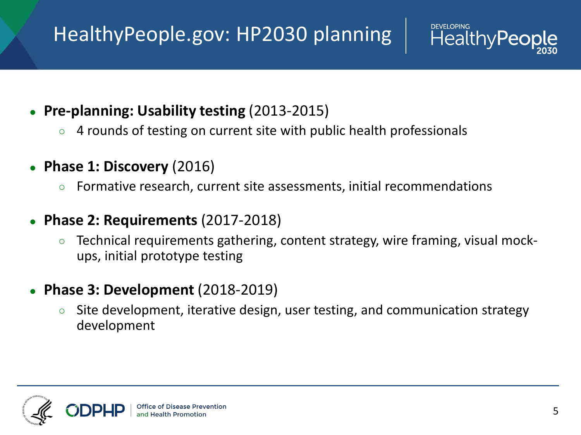## HealthyPeople.gov: HP2030 planning

- **Pre-planning: Usability testing** (2013-2015)
	- 4 rounds of testing on current site with public health professionals
- **Phase 1: Discovery** (2016)
	- Formative research, current site assessments, initial recommendations
- **Phase 2: Requirements** (2017-2018)
	- Technical requirements gathering, content strategy, wire framing, visual mockups, initial prototype testing
- **Phase 3: Development** (2018-2019)
	- Site development, iterative design, user testing, and communication strategy development



**HealthyPe**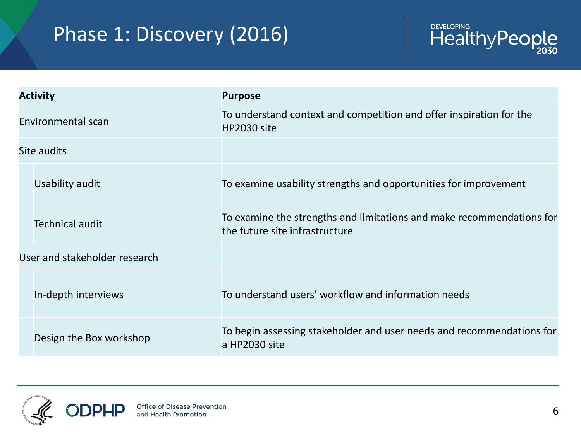## Phase 1: Discovery (2016)



| <b>Activity</b>               |                         | <b>Purpose</b>                                                                                          |
|-------------------------------|-------------------------|---------------------------------------------------------------------------------------------------------|
| Environmental scan            |                         | To understand context and competition and offer inspiration for the<br>HP2030 site                      |
| Site audits                   |                         |                                                                                                         |
|                               | Usability audit         | To examine usability strengths and opportunities for improvement                                        |
|                               | <b>Technical audit</b>  | To examine the strengths and limitations and make recommendations for<br>the future site infrastructure |
| User and stakeholder research |                         |                                                                                                         |
|                               | In-depth interviews     | To understand users' workflow and information needs                                                     |
|                               | Design the Box workshop | To begin assessing stakeholder and user needs and recommendations for<br>a HP2030 site                  |

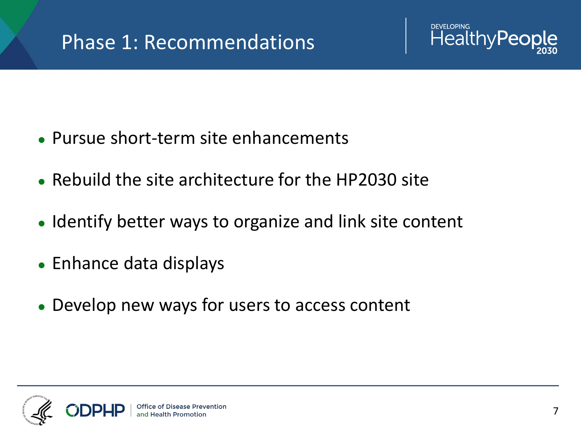

- Pursue short-term site enhancements
- Rebuild the site architecture for the HP2030 site
- Identify better ways to organize and link site content
- Enhance data displays
- Develop new ways for users to access content

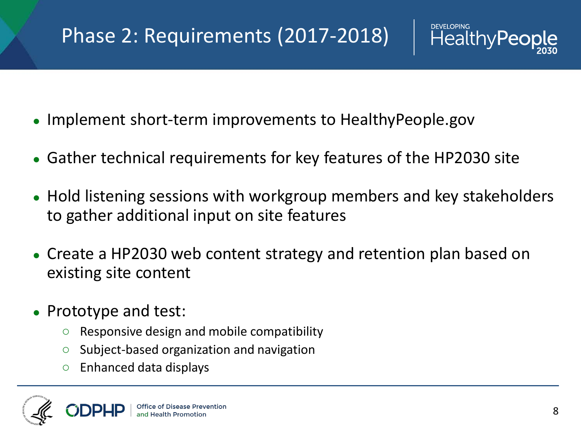#### Phase 2: Requirements (2017-2018)

- Implement short-term improvements to HealthyPeople.gov
- Gather technical requirements for key features of the HP2030 site
- Hold listening sessions with workgroup members and key stakeholders to gather additional input on site features
- Create a HP2030 web content strategy and retention plan based on existing site content
- Prototype and test:
	- Responsive design and mobile compatibility
	- Subject-based organization and navigation
	- $\circ$  Enhanced data displays



**DEVELOPING** 

**HealthyPed**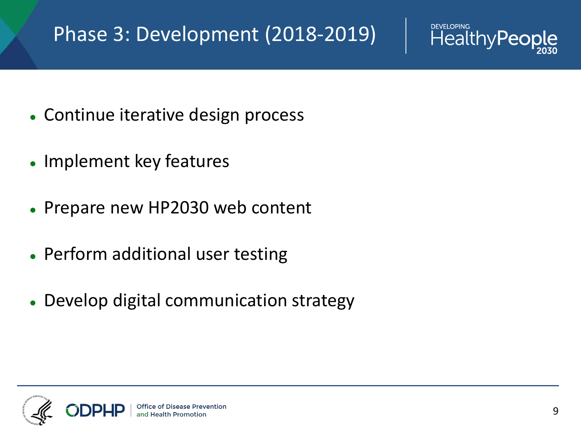#### Phase 3: Development (2018-2019)



- Continue iterative design process
- Implement key features
- Prepare new HP2030 web content
- Perform additional user testing
- Develop digital communication strategy